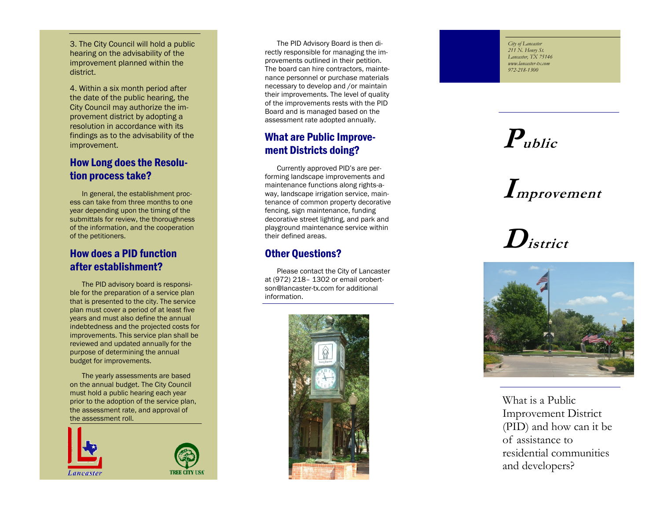3. The City Council will hold a public hearing on the advisability of the improvement planned within the district.

4. Within a six month period after the date of the public hearing, the City Council may authorize the improvement district by adopting a resolution in accordance with its findings as to the advisability of the improvement.

# How Long does the Resolution process take?

In general, the establishment process can take from three months to one year depending upon the timing of the submittals for review, the thoroughness of the information, and the cooperation of the petitioners.

#### How does a PID function after establishment?

The PID advisory board is responsible for the preparation of a service plan that is presented to the city. The service plan must cover a period of at least five years and must also define the annual indebtedness and the projected costs for improvements. This service plan shall be reviewed and updated annually for the purpose of determining the annual budget for improvements.

The yearly assessments are based on the annual budget. The City Council must hold a public hearing each year prior to the adoption of the service plan, the assessment rate, and approval of the assessment roll.



The PID Advisory Board is then directly responsible for managing the improvements outlined in their petition. The board can hire contractors, maintenance personnel or purchase materials necessary to develop and /or maintain their improvements. The level of quality of the improvements rests with the PID Board and is managed based on the assessment rate adopted annually.

# What are Public Improvement Districts doing?

Currently approved PID's are performing landscape improvements and maintenance functions along rights - a way, landscape irrigation service, maintenance of common property decorative fencing, sign maintenance, funding decorative street lighting, and park and playground maintenance service within their defined areas.

#### Other Questions?

Please contact the City of Lancaster at (972) 218 – 1302 or email orobertson@lancaster-tx.com for additional information.



*City of Lancaster 211 N. Henry St. Lancaster, TX 75146 www.lancaster-tx.com 972 -218 -1300*

# **Public**

# **Improvement**

**District**



What is a Public Improvement District (PID) and how can it be of assistance to residential communities and developers?